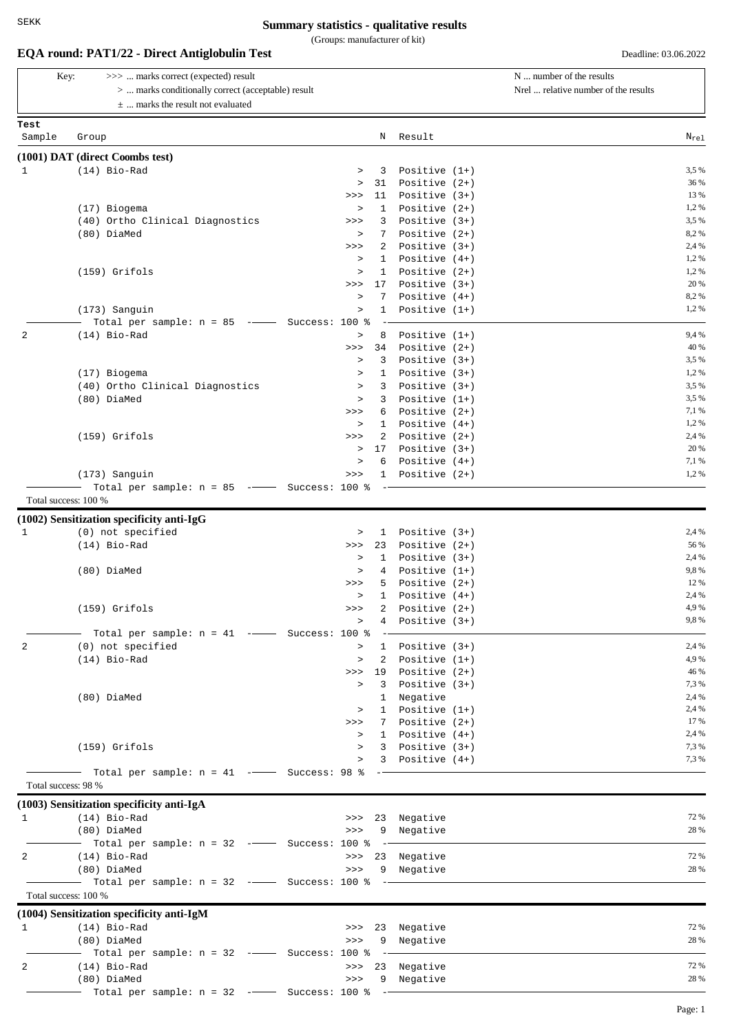| SEKK                |                                                                                                                                            | <b>Summary statistics - qualitative results</b><br>(Groups: manufacturer of kit) |                                    |                                                                  |
|---------------------|--------------------------------------------------------------------------------------------------------------------------------------------|----------------------------------------------------------------------------------|------------------------------------|------------------------------------------------------------------|
|                     | EQA round: PAT1/22 - Direct Antiglobulin Test                                                                                              |                                                                                  |                                    | Deadline: 03.06.2022                                             |
|                     | >>>  marks correct (expected) result<br>Key:<br>>  marks conditionally correct (acceptable) result<br>$\pm$ marks the result not evaluated |                                                                                  |                                    | N  number of the results<br>Nrel  relative number of the results |
| Test                |                                                                                                                                            |                                                                                  |                                    |                                                                  |
| Sample              | Group                                                                                                                                      | Ν                                                                                | Result                             | $\rm N_{\rm rel}$                                                |
|                     | (1001) DAT (direct Coombs test)                                                                                                            |                                                                                  |                                    |                                                                  |
| 1                   | $(14)$ Bio-Rad                                                                                                                             | 3<br>$\geq$                                                                      | Positive $(1+)$                    | 3,5 %                                                            |
|                     |                                                                                                                                            | 31<br>$\geq$<br>11<br>>>                                                         | Positive $(2+)$<br>Positive $(3+)$ | 36 %<br>13 %                                                     |
|                     | (17) Biogema                                                                                                                               | $\mathbf{1}$<br>$\, >$                                                           | Positive $(2+)$                    | 1,2%                                                             |
|                     | (40) Ortho Clinical Diagnostics                                                                                                            | 3<br>>>                                                                          | Positive $(3+)$                    | 3,5 %                                                            |
|                     | (80) DiaMed                                                                                                                                | 7<br>$\geq$                                                                      | Positive $(2+)$                    | 8,2%                                                             |
|                     |                                                                                                                                            | 2<br>>>                                                                          | Positive $(3+)$                    | 2,4 %                                                            |
|                     | $(159)$ Grifols                                                                                                                            | $\mathbf{1}$<br>$\geq$<br>1<br>$\, >$                                            | Positive $(4+)$<br>Positive $(2+)$ | 1,2%<br>1,2%                                                     |
|                     |                                                                                                                                            | 17<br>>>                                                                         | Positive $(3+)$                    | 20 %                                                             |
|                     |                                                                                                                                            | 7<br>$\, >$                                                                      | Positive $(4+)$                    | 8,2%                                                             |
|                     | (173) Sanguin                                                                                                                              | 1<br>>                                                                           | Positive $(1+)$                    | 1,2%                                                             |
|                     | Total per sample: $n = 85$ -                                                                                                               | Success: 100 %                                                                   |                                    |                                                                  |
| 2                   | $(14)$ Bio-Rad                                                                                                                             | 8<br>$\geq$                                                                      | Positive $(1+)$                    | 9,4%<br>40 %                                                     |
|                     |                                                                                                                                            | 34<br>>><br>3<br>$\, >$                                                          | Positive $(2+)$<br>Positive $(3+)$ | 3,5 %                                                            |
|                     | (17) Biogema                                                                                                                               | $\mathbf{1}$<br>$\geq$                                                           | Positive $(3+)$                    | 1,2%                                                             |
|                     | (40) Ortho Clinical Diagnostics                                                                                                            | 3<br>$\geq$                                                                      | Positive $(3+)$                    | 3,5 %                                                            |
|                     | (80) DiaMed                                                                                                                                | 3<br>$\, >$                                                                      | Positive $(1+)$                    | 3,5 %                                                            |
|                     |                                                                                                                                            | 6<br>>>                                                                          | Positive $(2+)$                    | 7,1 %                                                            |
|                     |                                                                                                                                            | $\mathbf{1}$<br>$\geq$                                                           | Positive $(4+)$                    | 1,2%                                                             |
|                     | $(159)$ Grifols                                                                                                                            | 2<br>>><br>17<br>$\geq$                                                          | Positive $(2+)$<br>Positive $(3+)$ | 2,4 %<br>20 %                                                    |
|                     |                                                                                                                                            | 6<br>$\, >$                                                                      | Positive $(4+)$                    | 7,1 %                                                            |
|                     | (173) Sanguin                                                                                                                              | >><br>$\mathbf{1}$                                                               | Positive $(2+)$                    | 1,2%                                                             |
|                     | Total per sample: $n = 85$ -- Success: 100 %                                                                                               |                                                                                  |                                    |                                                                  |
|                     | Total success: 100 %                                                                                                                       |                                                                                  |                                    |                                                                  |
| 1                   | (1002) Sensitization specificity anti-IgG<br>(0) not specified                                                                             | $\, >$                                                                           | 1 Positive (3+)                    | 2,4 %                                                            |
|                     | $(14)$ Bio-Rad                                                                                                                             | >>                                                                               | 23 Positive (2+)                   | 56 %                                                             |
|                     |                                                                                                                                            | $\, >$                                                                           | 1 Positive (3+)                    | 2,4 %                                                            |
|                     | (80) DiaMed                                                                                                                                | $\geq$                                                                           | 4 Positive (1+)                    | 9,8%                                                             |
|                     |                                                                                                                                            | >>                                                                               | 5 Positive (2+)                    | 12 %                                                             |
|                     |                                                                                                                                            | $\geq$                                                                           | 1 Positive $(4+)$                  | 2,4 %                                                            |
|                     | (159) Grifols                                                                                                                              | >><br>$\, >$                                                                     | 2 Positive (2+)<br>4 Positive (3+) | 4,9%<br>9,8%                                                     |
|                     | Total per sample: $n = 41$ -- Success: 100 %                                                                                               |                                                                                  |                                    |                                                                  |
| 2                   | (0) not specified                                                                                                                          | $\,>$                                                                            | 1 Positive (3+)                    | 2,4 %                                                            |
|                     | $(14)$ Bio-Rad                                                                                                                             | $\, >$                                                                           | 2 Positive (1+)                    | 4,9%                                                             |
|                     |                                                                                                                                            | >>                                                                               | 19 Positive (2+)                   | 46 %                                                             |
|                     |                                                                                                                                            | $\, >$                                                                           | 3 Positive (3+)                    | 7,3%<br>2,4 %                                                    |
|                     | (80) DiaMed                                                                                                                                | $\, >$                                                                           | 1 Negative<br>1 Positive (1+)      | 2,4 %                                                            |
|                     |                                                                                                                                            | >>                                                                               | 7 Positive (2+)                    | 17 %                                                             |
|                     |                                                                                                                                            | $\geq$                                                                           | 1 Positive (4+)                    | 2,4 %                                                            |
|                     | $(159)$ Grifols                                                                                                                            | $\, >$                                                                           | 3 Positive $(3+)$                  | 7,3%                                                             |
|                     | —   Total per sample:  n =  41   -——   Success:  98   %   -—                                                                               | $\geq$                                                                           | 3 Positive (4+)                    | 7,3%                                                             |
| Total success: 98 % |                                                                                                                                            |                                                                                  |                                    |                                                                  |
|                     | (1003) Sensitization specificity anti-IgA                                                                                                  |                                                                                  |                                    |                                                                  |
| $\mathbf{1}$        | $(14)$ Bio-Rad                                                                                                                             |                                                                                  | >>> 23 Negative                    | 72 %                                                             |
|                     | (80) DiaMed                                                                                                                                | >>                                                                               | 9 Negative                         | 28 %                                                             |
|                     | - Total per sample: n = 32 ---- Success: 100 %                                                                                             | $\mathord{\hspace{1pt}\text{--}\hspace{1pt}}$                                    |                                    |                                                                  |
| 2                   | $(14)$ Bio-Rad                                                                                                                             |                                                                                  | >>> 23 Negative                    | 72 %                                                             |
|                     | (80) DiaMed<br>—  Total per sample: n = 32  -——   Success: 100 %  -—                                                                       | >>                                                                               | 9 Negative                         | 28 %                                                             |
|                     | Total success: 100 %                                                                                                                       |                                                                                  |                                    |                                                                  |
|                     |                                                                                                                                            |                                                                                  |                                    |                                                                  |

**(1004) Sensitization specificity anti-IgM** 1 (14) Bio-Rad >>> 23 Negative 72 % (80) DiaMed >>> 9 Negative 28 % Total per sample:  $n = 32$  --- Success: 100 % -2 (14) Bio-Rad >>> 23 Negative 72 % (80) DiaMed >>> 9 Negative 28 % Total per sample:  $n = 32$  --- Success: 100 % -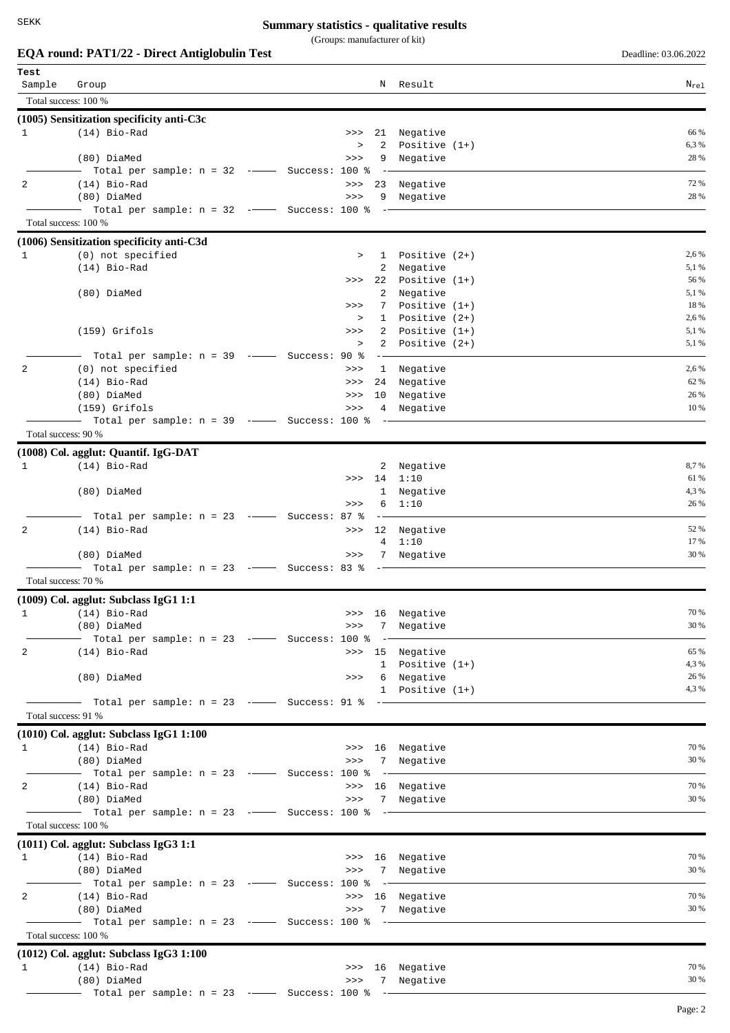(Groups: manufacturer of kit)

|                     | EQA round: PAT1/22 - Direct Antiglobulin Test                                         |              |                |                                                         | Deadline: 03.06.2022 |
|---------------------|---------------------------------------------------------------------------------------|--------------|----------------|---------------------------------------------------------|----------------------|
| Test<br>Sample      | Group                                                                                 |              |                | N Result                                                | $N_{re1}$            |
|                     | Total success: 100 %                                                                  |              |                |                                                         |                      |
|                     | $(1005)$ Sensitization specificity anti-C3c                                           |              |                |                                                         |                      |
| $\mathbf{1}$        | $(14)$ Bio-Rad                                                                        |              |                | >>> 21 Negative                                         | 66 %                 |
|                     |                                                                                       | $\, >$       | $\overline{2}$ | Positive $(1+)$                                         | 6,3%                 |
|                     | (80) DiaMed<br>Total per sample: $n = 32$ -- Success: 100 %                           | >>           | $-$            | 9 Negative                                              | 28 %                 |
| 2                   | $(14)$ Bio-Rad                                                                        | $>>>$        |                | 23 Negative                                             | 72 %                 |
|                     | (80) DiaMed                                                                           | >>           |                | 9 Negative                                              | 28 %                 |
|                     | Total per sample: $n = 32$ -- Success: 100 %                                          |              |                |                                                         |                      |
|                     | Total success: 100 %                                                                  |              |                |                                                         |                      |
|                     | (1006) Sensitization specificity anti-C3d                                             |              |                |                                                         |                      |
| $\mathbf{1}$        | (0) not specified<br>$(14)$ Bio-Rad                                                   | $\geq$       |                | 1 Positive (2+)<br>2 Negative                           | 2,6 %<br>5,1%        |
|                     |                                                                                       | >>           |                | 22 Positive (1+)                                        | 56 %                 |
|                     | (80) DiaMed                                                                           |              | $\overline{a}$ | Negative                                                | 5,1 %                |
|                     |                                                                                       | >>           |                | 7 Positive (1+)                                         | 18 %                 |
|                     | $(159)$ Grifols                                                                       | $\geq$<br>>> | $2^{\circ}$    | 1 Positive (2+)<br>Positive $(1+)$                      | 2,6 %<br>5,1 %       |
|                     |                                                                                       | $\, > \,$    | $2^{\circ}$    | Positive $(2+)$                                         | 5,1 %                |
|                     | - Total per sample: n = 39  ------ Success: 90 %                                      |              |                |                                                         |                      |
| 2                   | (0) not specified                                                                     | $>>>$        |                | 1 Negative                                              | 2,6 %                |
|                     | $(14)$ Bio-Rad                                                                        | >>           | 24             | Negative                                                | 62 %                 |
|                     | (80) DiaMed<br>$(159)$ Grifols                                                        | >><br>>>     | 10             | Negative<br>4 Negative                                  | 26 %<br>10 %         |
|                     | Total per sample: $n = 39$ -- Success: 100 %                                          |              |                |                                                         |                      |
| Total success: 90 % |                                                                                       |              |                |                                                         |                      |
|                     | (1008) Col. agglut: Quantif. IgG-DAT                                                  |              |                |                                                         |                      |
| $\mathbf{1}$        | $(14)$ Bio-Rad                                                                        |              |                | 2 Negative                                              | 8,7%                 |
|                     |                                                                                       | $>>$ 14 1:10 |                |                                                         | 61 %                 |
|                     | (80) DiaMed                                                                           | >>           | $\mathbf{1}$   | Negative<br>6 1:10                                      | 4,3%<br>26 %         |
|                     | Total per sample: $n = 23$ -- Success: 87 %                                           |              | $- -$          |                                                         |                      |
| 2                   | $(14)$ Bio-Rad                                                                        |              |                | >>> 12 Negative                                         | 52 %                 |
|                     |                                                                                       |              | 4              | 1:10                                                    | 17 %                 |
|                     | (80) DiaMed<br>Total per sample: $n = 23$ -- Success: 83 %                            | >>           |                | 7 Negative                                              | 30 %                 |
| Total success: 70 % |                                                                                       |              |                |                                                         |                      |
|                     | $(1009)$ Col. agglut: Subclass IgG1 1:1                                               |              |                |                                                         |                      |
| $\mathbf{1}$        | $(14)$ Bio-Rad                                                                        |              |                | >>> 16 Negative                                         | 70 %                 |
|                     | (80) DiaMed                                                                           |              |                | >>> 7 Negative                                          | 30 %                 |
|                     | $-$ Total per sample: $n = 23$ - $-$ Success: 100 %                                   |              |                | $\sim$ $\sim$ $\sim$ $\sim$ $\sim$ $\sim$ $\sim$ $\sim$ |                      |
| 2                   | (14) Bio-Rad                                                                          |              |                | >>> 15 Negative<br>1 Positive $(1+)$                    | 65 %<br>4,3%         |
|                     | (80) DiaMed                                                                           |              |                | >>> 6 Negative                                          | 26 %                 |
|                     |                                                                                       |              |                | 1 Positive $(1+)$                                       | 4,3%                 |
|                     |                                                                                       |              |                |                                                         |                      |
| Total success: 91 % |                                                                                       |              |                |                                                         |                      |
|                     | $(1010)$ Col. agglut: Subclass IgG1 1:100                                             |              |                |                                                         | 70 %                 |
| $\mathbf{1}$        | (14) Bio-Rad<br>(80) DiaMed                                                           |              |                | >>> 16 Negative<br>>>> 7 Negative                       | 30 %                 |
|                     | - Total per sample: $n = 23$ --- Success: 100 % -                                     |              |                |                                                         |                      |
| 2                   | (14) Bio-Rad                                                                          |              |                | >>> 16 Negative                                         | 70 %                 |
|                     | (80) DiaMed                                                                           |              |                | >>> 7 Negative                                          | 30 %                 |
|                     | Total success: 100 %                                                                  |              |                |                                                         |                      |
|                     | $(1011)$ Col. agglut: Subclass IgG3 1:1                                               |              |                |                                                         |                      |
| $\mathbf{1}$        | (14) Bio-Rad                                                                          |              |                | >>> 16 Negative                                         | 70 %                 |
|                     | (80) DiaMed                                                                           |              |                | >>> 7 Negative                                          | 30 %                 |
|                     | —   Total per sample:  n = 23   -——    Success: 100        -——————                    |              |                |                                                         |                      |
| 2                   | $(14)$ Bio-Rad                                                                        |              |                | >>> 16 Negative                                         | 70 %                 |
|                     | (80) DiaMed                                                                           |              |                | >>> 7 Negative                                          | 30 %                 |
|                     | ——  Total per sample: n = 23  -——   Success: 100       -—————<br>Total success: 100 % |              |                |                                                         |                      |
|                     | $(1012)$ Col. agglut: Subclass IgG3 1:100                                             |              |                |                                                         |                      |
| $\mathbf{1}$        | (14) Bio-Rad                                                                          |              |                | >>> 16 Negative                                         | 70 %                 |
|                     | (80) DiaMed                                                                           |              |                | >>> 7 Negative                                          | 30 %                 |
|                     |                                                                                       |              |                |                                                         |                      |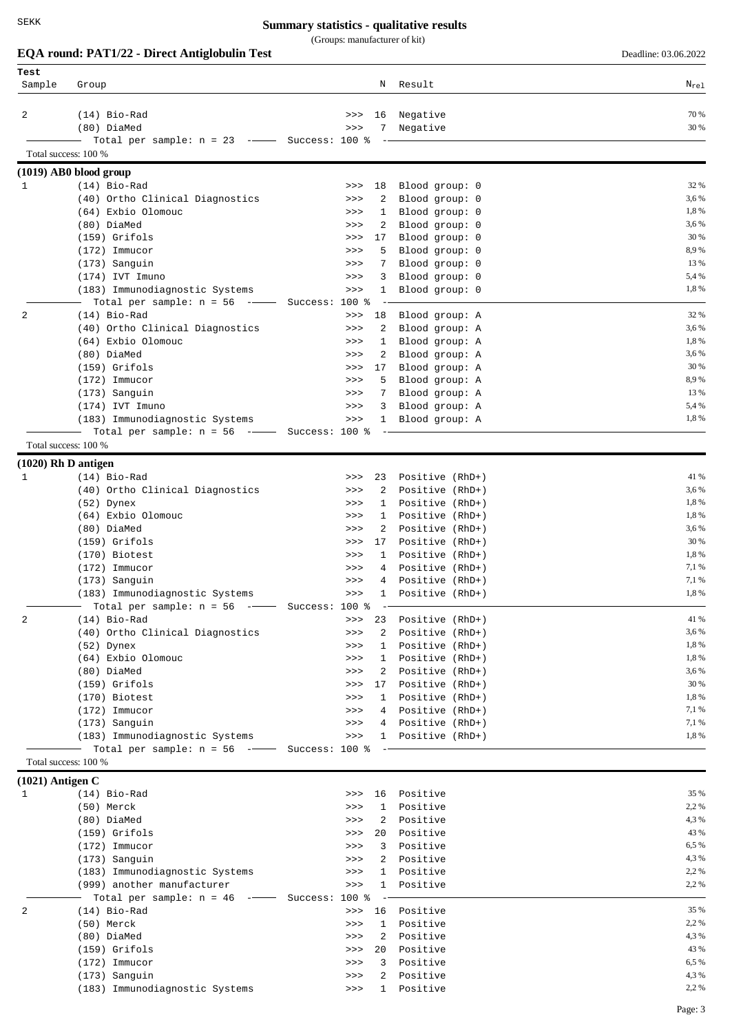(Groups: manufacturer of kit)

## **EQA round: PAT1/22 - Direct Antiglobulin Test** Deadline: 03.06.2022

| Test<br>Sample        | Group                                                 | Ν                                          | Result                             | $N_{re1}$      |
|-----------------------|-------------------------------------------------------|--------------------------------------------|------------------------------------|----------------|
|                       |                                                       |                                            |                                    |                |
| 2                     | $(14)$ Bio-Rad                                        | 16<br>>>                                   | Negative                           | 70 %           |
|                       | (80) DiaMed                                           | 7<br>>>                                    | Negative                           | 30 %           |
| Total success: 100 %  | Total per sample: $n = 23$ -- Success: 100 %          |                                            |                                    |                |
|                       |                                                       |                                            |                                    |                |
| 1                     | $(1019)$ AB0 blood group<br>$(14)$ Bio-Rad            | 18<br>$>>>$                                | Blood group: 0                     | 32 %           |
|                       | (40) Ortho Clinical Diagnostics                       | 2<br>>>                                    | Blood group: 0                     | 3,6 %          |
|                       | (64) Exbio Olomouc                                    | $\mathbf{1}$<br>>>                         | Blood group: 0                     | 1,8%           |
|                       | (80) DiaMed                                           | 2<br>>>                                    | Blood group: 0                     | 3,6 %          |
|                       | $(159)$ Grifols                                       | 17<br>>>                                   | Blood group: 0                     | 30 %           |
|                       | $(172)$ Immucor                                       | 5<br>>>                                    | Blood group: 0                     | 8,9%           |
|                       | (173) Sanguin                                         | 7<br>>>                                    | Blood group: 0                     | 13 %           |
|                       | $(174)$ IVT Imuno                                     | 3<br>>>                                    | Blood group: 0                     | 5,4 %          |
|                       | (183) Immunodiagnostic Systems                        | >><br>1                                    | Blood group: 0                     | 1,8%           |
|                       | Total per sample: $n = 56$ -                          | Success: 100 %                             |                                    |                |
| 2                     | $(14)$ Bio-Rad                                        | 18<br>>>                                   | Blood group: A                     | 32 %<br>3,6 %  |
|                       | (40) Ortho Clinical Diagnostics<br>(64) Exbio Olomouc | 2<br>>>>                                   | Blood group: A<br>Blood group: A   | 1,8%           |
|                       | (80) DiaMed                                           | 1<br>>>><br>2<br>>>>                       | Blood group: A                     | 3,6 %          |
|                       | $(159)$ Grifols                                       | 17<br>>>                                   | Blood group: A                     | 30 %           |
|                       | (172) Immucor                                         | 5<br>>>                                    | Blood group: A                     | 8,9%           |
|                       | (173) Sanguin                                         | 7<br>>>                                    | Blood group: A                     | 13 %           |
|                       | (174) IVT Imuno                                       | >><br>3                                    | Blood group: A                     | 5,4 %          |
|                       | (183) Immunodiagnostic Systems                        | >>                                         | 1 Blood group: A                   | 1,8%           |
|                       | Total per sample: $n = 56$ -- Success: 100 %          |                                            |                                    |                |
|                       | Total success: 100 %                                  |                                            |                                    |                |
| $(1020)$ Rh D antigen |                                                       |                                            |                                    |                |
| 1                     | $(14)$ Bio-Rad                                        | 23<br>>>>                                  | Positive (RhD+)                    | 41 %           |
|                       | (40) Ortho Clinical Diagnostics                       | 2<br>>>>                                   | Positive (RhD+)                    | 3,6 %          |
|                       | (52) Dynex                                            | 1<br>>>                                    | Positive (RhD+)                    | 1,8%           |
|                       | (64) Exbio Olomouc                                    | $\mathbf{1}$<br>>>                         | Positive (RhD+)                    | 1,8%<br>3,6 %  |
|                       | (80) DiaMed<br>$(159)$ Grifols                        | 2<br>>>><br>17<br>>>>                      | Positive (RhD+)<br>Positive (RhD+) | 30 %           |
|                       | (170) Biotest                                         | 1<br>>>>                                   | Positive (RhD+)                    | 1,8%           |
|                       | (172) Immucor                                         | >><br>4                                    | Positive (RhD+)                    | 7,1 %          |
|                       | (173) Sanguin                                         | $\overline{4}$<br>>>                       | Positive (RhD+)                    | 7,1 %          |
|                       | (183) Immunodiagnostic Systems                        | $\mathbf{1}$<br>>>                         | Positive (RhD+)                    | 1,8%           |
|                       | Total per sample: $n = 56$ --                         | Success: 100 %<br>$\overline{\phantom{a}}$ |                                    |                |
| 2                     | $(14)$ Bio-Rad                                        | 23<br>>>                                   | Positive (RhD+)                    | 41 %           |
|                       | (40) Ortho Clinical Diagnostics                       | 2<br>>>                                    | Positive (RhD+)                    | 3,6 %          |
|                       | (52) Dynex                                            | 1<br>>>                                    | Positive (RhD+)                    | 1,8%           |
|                       | (64) Exbio Olomouc                                    | $\mathbf{1}$<br>>>                         | Positive (RhD+)                    | 1,8%           |
|                       | (80) DiaMed                                           | >><br>2                                    | Positive (RhD+)                    | 3,6%           |
|                       | $(159)$ Grifols                                       | 17<br>>>                                   | Positive (RhD+)                    | 30 %           |
|                       | (170) Biotest                                         | >><br>$\mathbf{1}$                         | Positive (RhD+)                    | 1,8%           |
|                       | $(172)$ Immucor<br>(173) Sanguin                      | 4<br>>><br>4                               | Positive (RhD+)<br>Positive (RhD+) | 7,1 %<br>7,1 % |
|                       | (183) Immunodiagnostic Systems                        | >><br>$>>>$                                | 1 Positive (RhD+)                  | 1,8%           |
|                       | Total per sample: $n = 56$ -- Success: 100 %          |                                            |                                    |                |
|                       | Total success: 100 %                                  |                                            |                                    |                |
| $(1021)$ Antigen C    |                                                       |                                            |                                    |                |
| 1                     | $(14)$ Bio-Rad                                        | 16<br>>>                                   | Positive                           | 35 %           |
|                       | $(50)$ Merck                                          | $\mathbf{1}$<br>>>                         | Positive                           | 2,2%           |
|                       | (80) DiaMed                                           | 2<br>>>                                    | Positive                           | 4,3 %          |
|                       | (159) Grifols                                         | 20<br>>>                                   | Positive                           | 43 %           |
|                       | $(172)$ Immucor                                       | 3<br>>>                                    | Positive                           | 6,5 %          |
|                       | (173) Sanguin                                         | 2<br>>>                                    | Positive                           | 4,3%           |
|                       | (183) Immunodiagnostic Systems                        | 1<br>>>                                    | Positive                           | 2,2%           |
|                       | (999) another manufacturer                            | 1<br>>>                                    | Positive                           | 2,2%           |
|                       | Total per sample: $n = 46$ -                          | Success: 100 %                             |                                    |                |
| 2                     | $(14)$ Bio-Rad                                        | 16<br>>>                                   | Positive                           | 35 %           |
|                       | (50) Merck                                            | $\mathbf{1}$<br>>>                         | Positive                           | 2,2 %          |
|                       | (80) DiaMed                                           | 2<br>>>                                    | Positive                           | 4,3%<br>43 %   |
|                       | $(159)$ Grifols<br>$(172)$ Immucor                    | 20<br>>><br>3<br>>>                        | Positive<br>Positive               | 6,5%           |
|                       | (173) Sanguin                                         | 2<br>>>                                    | Positive                           | 4,3%           |
|                       | (183) Immunodiagnostic Systems                        | 1<br>$>>>$                                 | Positive                           | 2,2%           |
|                       |                                                       |                                            |                                    |                |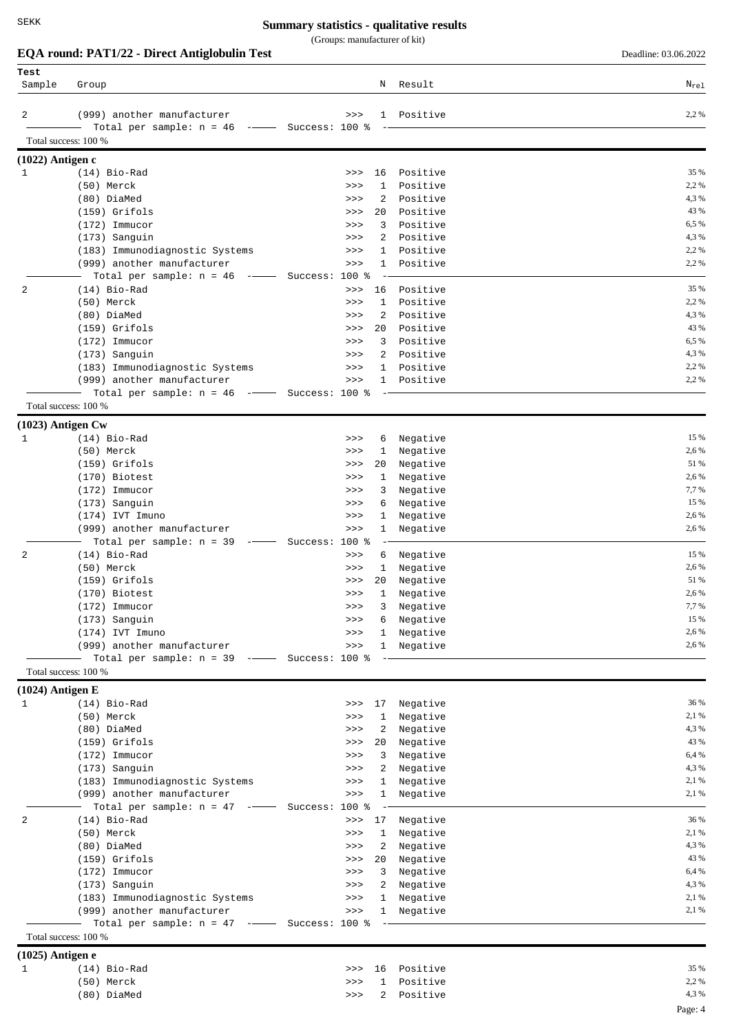(Groups: manufacturer of kit)

# **EQA** round: **PAT1/22 - Direct Antiglobulin Test** Deadline: 03.06.2022

| Test                |                                                                            |                |                               |                      |               |
|---------------------|----------------------------------------------------------------------------|----------------|-------------------------------|----------------------|---------------|
| Sample              | Group                                                                      |                | Ν                             | Result               | $N_{re1}$     |
|                     |                                                                            |                |                               |                      |               |
| 2                   | (999) another manufacturer                                                 |                | >>                            | 1 Positive           | 2,2%          |
|                     | Total per sample: $n = 46$ -- Success: 100 %<br>Total success: 100 %       |                |                               |                      |               |
|                     |                                                                            |                |                               |                      |               |
| $(1022)$ Antigen c  |                                                                            |                |                               |                      | 35 %          |
| 1                   | $(14)$ Bio-Rad<br>(50) Merck                                               |                | 16<br>>><br>1<br>>>           | Positive<br>Positive | 2,2 %         |
|                     | (80) DiaMed                                                                |                | 2<br>>>                       | Positive             | 4,3%          |
|                     | (159) Grifols                                                              |                | 20<br>>>                      | Positive             | 43 %          |
|                     | $(172)$ Immucor                                                            |                | 3<br>>>                       | Positive             | 6,5 %         |
|                     | (173) Sanguin                                                              |                | $\overline{a}$<br>>>          | Positive             | 4,3%          |
|                     | (183) Immunodiagnostic Systems                                             |                | 1<br>>>                       | Positive             | 2,2%          |
|                     | (999) another manufacturer                                                 |                | 1<br>>>                       | Positive             | 2,2%          |
| 2                   | Total per sample: $n = 46$ -<br>$(14)$ Bio-Rad                             | Success: 100 % | 16<br>>>                      | Positive             | 35 %          |
|                     | (50) Merck                                                                 |                | >><br>1                       | Positive             | 2,2 %         |
|                     | (80) DiaMed                                                                |                | 2<br>>>                       | Positive             | 4,3%          |
|                     | $(159)$ Grifols                                                            |                | 20<br>>>                      | Positive             | 43 %          |
|                     | $(172)$ Immucor                                                            |                | 3<br>>>                       | Positive             | 6,5 %         |
|                     | (173) Sanguin                                                              |                | 2<br>>>                       | Positive             | 4,3%          |
|                     | (183) Immunodiagnostic Systems                                             |                | 1<br>>>                       | Positive             | 2,2%          |
|                     | (999) another manufacturer<br>Total per sample: $n = 46$ -- Success: 100 % |                | >><br>$\mathbf{1}$            | Positive             | 2,2%          |
|                     | Total success: 100 %                                                       |                |                               |                      |               |
|                     |                                                                            |                |                               |                      |               |
| $(1023)$ Antigen Cw |                                                                            |                |                               |                      | 15 %          |
| 1                   | $(14)$ Bio-Rad<br>(50) Merck                                               |                | >><br>6<br>1<br>>>            | Negative<br>Negative | 2,6 %         |
|                     | $(159)$ Grifols                                                            |                | 20<br>>>                      | Negative             | 51 %          |
|                     | (170) Biotest                                                              |                | 1<br>>>                       | Negative             | 2,6 %         |
|                     | $(172)$ Immucor                                                            |                | >><br>3                       | Negative             | 7,7%          |
|                     | (173) Sanguin                                                              |                | 6<br>>>                       | Negative             | 15 %          |
|                     | $(174)$ IVT Imuno                                                          |                | 1<br>>>                       | Negative             | 2,6 %         |
|                     | (999) another manufacturer                                                 |                | 1<br>>>                       | Negative             | 2,6 %         |
|                     | Total per sample: $n = 39$<br>$-$                                          | Success: 100 % |                               |                      | 15 %          |
| 2                   | $(14)$ Bio-Rad<br>(50) Merck                                               |                | 6<br>>><br>$\mathbf{1}$<br>>> | Negative<br>Negative | 2,6 %         |
|                     | (159) Grifols                                                              |                | 20<br>>>                      | Negative             | 51 %          |
|                     | (170) Biotest                                                              |                | 1<br>>>                       | Negative             | 2,6 %         |
|                     | $(172)$ Immucor                                                            |                | 3<br>>>                       | Negative             | 7,7%          |
|                     | (173) Sanguin                                                              |                | >>><br>6                      | Negative             | 15 %          |
|                     | (174) IVT Imuno                                                            |                | >><br>1.                      | Negative             | 2,6 %         |
|                     | (999) another manufacturer                                                 |                | >><br>$\mathbf{1}$            | Negative             | 2,6 %         |
|                     | Total per sample: $n = 39$ -- Success: 100 %<br>Total success: 100 %       |                |                               |                      |               |
|                     |                                                                            |                |                               |                      |               |
| $(1024)$ Antigen E  |                                                                            |                |                               |                      |               |
| 1                   | $(14)$ Bio-Rad<br>(50) Merck                                               |                | 17<br>>><br>1                 | Negative             | 36 %<br>2,1 % |
|                     | (80) DiaMed                                                                |                | >><br>2<br>>>                 | Negative<br>Negative | 4,3%          |
|                     | (159) Grifols                                                              |                | 20<br>>>                      | Negative             | 43 %          |
|                     | (172) Immucor                                                              |                | 3<br>>>                       | Negative             | 6,4 %         |
|                     | $(173)$ Sanguin                                                            |                | 2<br>>>                       | Negative             | 4,3%          |
|                     | (183) Immunodiagnostic Systems                                             |                | $\mathbf{1}$<br>>>            | Negative             | 2,1 %         |
|                     | (999) another manufacturer                                                 |                | >><br>$\mathbf{1}$            | Negative             | 2,1 %         |
|                     | Total per sample: $n = 47$ -                                               | Success: 100 % |                               |                      |               |
| 2                   | $(14)$ Bio-Rad                                                             |                | 17<br>>><br>$\mathbf{1}$      | Negative             | 36 %<br>2,1 % |
|                     | (50) Merck<br>(80) DiaMed                                                  |                | >><br>2<br>>>                 | Negative<br>Negative | 4,3%          |
|                     | (159) Grifols                                                              |                | 20<br>>>                      | Negative             | 43 %          |
|                     | $(172)$ Immucor                                                            |                | 3<br>>>                       | Negative             | 6,4%          |
|                     | (173) Sanguin                                                              |                | $\overline{a}$<br>>>          | Negative             | 4,3%          |
|                     | (183) Immunodiagnostic Systems                                             |                | $\mathbf{1}$<br>>>            | Negative             | 2,1 %         |
|                     | (999) another manufacturer                                                 |                | >><br>$\mathbf{1}$            | Negative             | 2,1 %         |
|                     | Total per sample: $n = 47$ -                                               | Success: 100 % |                               |                      |               |
|                     | Total success: 100 %                                                       |                |                               |                      |               |
| $(1025)$ Antigen e  |                                                                            |                |                               |                      |               |
| 1                   | $(14)$ Bio-Rad                                                             |                | 16<br>>>                      | Positive             | 35 %          |
|                     | (50) Merck                                                                 |                | 1<br>>>                       | Positive             | 2,2%          |
|                     | (80) DiaMed                                                                |                | $\mathbf{2}$<br>>>            | Positive             | 4,3%          |

Page: 4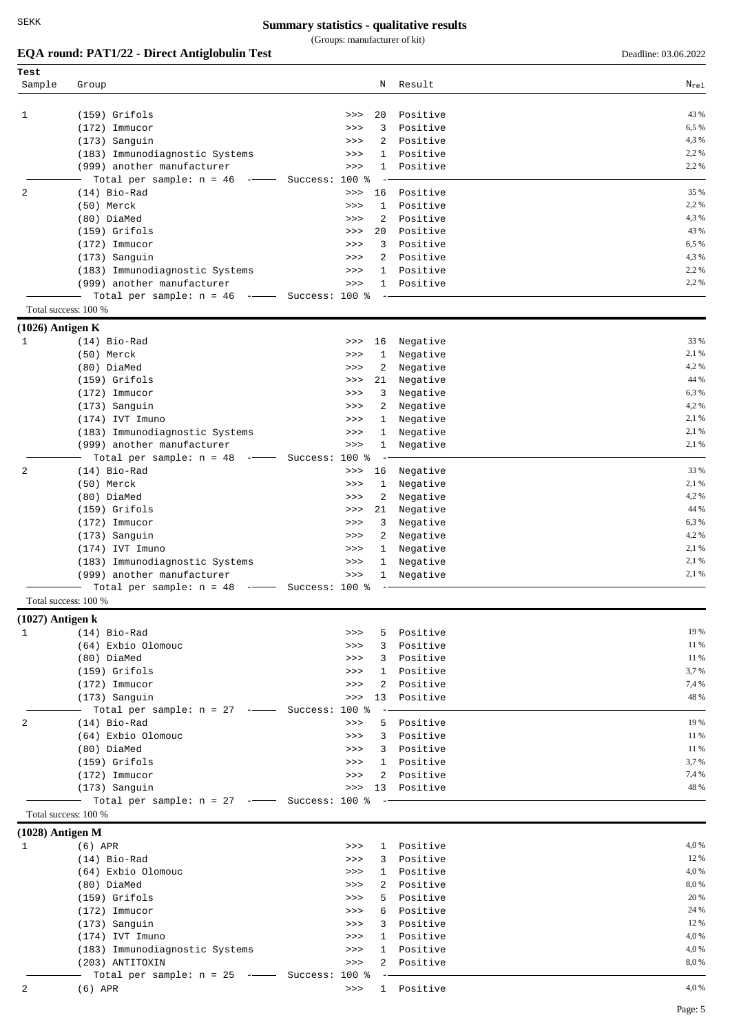(Groups: manufacturer of kit)

## **EQA round: PAT1/22 - Direct Antiglobulin Test** Deadline: 03.06.2022

| Test               |                                                              |                |                |                      |                   |
|--------------------|--------------------------------------------------------------|----------------|----------------|----------------------|-------------------|
| Sample             | Group                                                        |                | Ν              | Result               | $\rm N_{\rm rel}$ |
|                    |                                                              |                |                |                      |                   |
| 1                  | $(159)$ Grifols                                              | >>             | 20             | Positive             | 43 %              |
|                    | $(172)$ Immucor                                              | >>             | 3              | Positive             | 6,5 %             |
|                    | (173) Sanguin                                                | >>             | 2              | Positive             | 4,3%              |
|                    | (183) Immunodiagnostic Systems                               | >>             | 1              | Positive             | 2,2%              |
|                    | (999) another manufacturer                                   | >>             | 1              | Positive             | 2,2%              |
|                    | Total per sample: $n = 46$<br>$\qquad \qquad -$              | Success: 100 % |                |                      |                   |
| 2                  | $(14)$ Bio-Rad                                               | >>             | 16             | Positive             | 35 %              |
|                    | (50) Merck                                                   | >>             | $\mathbf{1}$   | Positive             | 2,2%              |
|                    | (80) DiaMed                                                  | >>             | 2              | Positive             | 4,3%              |
|                    | $(159)$ Grifols                                              | >>             | 20             | Positive             | 43 %              |
|                    | $(172)$ Immucor                                              | >>             | 3              | Positive             | 6,5 %             |
|                    | (173) Sanguin                                                | >>             | 2              | Positive             | 4,3%              |
|                    | (183) Immunodiagnostic Systems                               | >>             | 1              | Positive             | 2,2%              |
|                    | (999) another manufacturer                                   | $>>>$          | $\mathbf{1}$   | Positive             | 2,2%              |
|                    | Total per sample: $n = 46$ -<br>Total success: 100 %         | Success: 100 % |                |                      |                   |
|                    |                                                              |                |                |                      |                   |
| $(1026)$ Antigen K |                                                              |                |                |                      |                   |
| 1                  | $(14)$ Bio-Rad                                               | >>             | 16             | Negative             | 33 %              |
|                    | (50) Merck                                                   | >>             | 1              | Negative             | 2,1 %             |
|                    | (80) DiaMed                                                  | >>             | 2              | Negative             | 4,2%              |
|                    | $(159)$ Grifols                                              | >>             | 21             | Negative             | 44 %              |
|                    | $(172)$ Immucor                                              | >>             | 3              | Negative             | 6,3%              |
|                    | (173) Sanguin                                                | >>             | 2              | Negative             | 4,2%              |
|                    | $(174)$ IVT Imuno                                            | >>             | 1              | Negative             | 2,1 %             |
|                    | (183) Immunodiagnostic Systems                               | >>             | 1              | Negative             | 2,1 %             |
|                    | (999) another manufacturer                                   | >>             | 1              | Negative             | 2,1 %             |
|                    | Total per sample: $n = 48$<br>$\sim$ $-$                     | Success: 100 % |                |                      | 33 %              |
| 2                  | $(14)$ Bio-Rad                                               | >>             | 16             | Negative             |                   |
|                    | (50) Merck                                                   | >>             | $\mathbf{1}$   | Negative             | 2,1 %<br>4,2%     |
|                    | (80) DiaMed                                                  | >>             | 2              | Negative             | 44 %              |
|                    | $(159)$ Grifols                                              | >>             | 21             | Negative             | 6,3%              |
|                    | $(172)$ Immucor                                              | >>             | 3              | Negative             | 4,2%              |
|                    | (173) Sanguin                                                | >>             | 2              | Negative             | 2,1 %             |
|                    | (174) IVT Imuno                                              | >>             | 1              | Negative             | 2,1 %             |
|                    | (183) Immunodiagnostic Systems<br>(999) another manufacturer | >><br>>>       | 1<br>1         | Negative<br>Negative | 2,1 %             |
|                    | Total per sample: $n = 48$<br>$ -$                           | Success: 100 % |                |                      |                   |
|                    | Total success: 100 %                                         |                |                |                      |                   |
| $(1027)$ Antigen k |                                                              |                |                |                      |                   |
| $\mathbf{1}$       | $(14)$ Bio-Rad                                               | >>             | 5.             | Positive             | 19 %              |
|                    | (64) Exbio Olomouc                                           | >>             | 3              | Positive             | 11 %              |
|                    | (80) DiaMed                                                  | $>>>$          | 3              | Positive             | 11 %              |
|                    | $(159)$ Grifols                                              | >>             | $\mathbf{1}$   | Positive             | 3,7 %             |
|                    | $(172)$ Immucor                                              | >>             | 2              | Positive             | 7,4 %             |
|                    | (173) Sanguin                                                | >>             | 13             | Positive             | 48 %              |
|                    | Total per sample: $n = 27$ -- Success: 100 %                 |                |                |                      |                   |
| 2                  | $(14)$ Bio-Rad                                               | $>>>$          | 5              | Positive             | 19 %              |
|                    | (64) Exbio Olomouc                                           | $>>>$          | 3              | Positive             | 11 %              |
|                    | (80) DiaMed                                                  | >>             |                | 3 Positive           | 11 %              |
|                    | $(159)$ Grifols                                              | >>             | $\mathbf{1}$   | Positive             | 3,7%              |
|                    | $(172)$ Immucor                                              | >>             | $\overline{2}$ | Positive             | 7,4 %             |
|                    | $(173)$ Sanguin                                              | >>             |                | 13 Positive          | 48 %              |
|                    | Total per sample: $n = 27$ -- Success: 100 %                 |                |                |                      |                   |
|                    | Total success: 100 %                                         |                |                |                      |                   |
| $(1028)$ Antigen M |                                                              |                |                |                      |                   |
| $\mathbf{1}$       | $(6)$ APR                                                    | >>             |                | 1 Positive           | 4,0%              |
|                    | $(14)$ Bio-Rad                                               | >>             | 3              | Positive             | 12 %              |
|                    | (64) Exbio Olomouc                                           | $>>>$          | $\mathbf{1}$   | Positive             | 4,0%              |
|                    | (80) DiaMed                                                  | >>             | 2              | Positive             | 8,0%              |
|                    | $(159)$ Grifols                                              | >>             | 5              | Positive             | 20 %              |
|                    | $(172)$ Immucor                                              | $>>>$          |                | 6 Positive           | 24 %              |
|                    | $(173)$ Sanguin                                              | >>             | 3              | Positive             | 12 %              |
|                    | (174) IVT Imuno                                              | >>             | $\mathbf{1}$   | Positive             | 4,0 %             |
|                    | (183) Immunodiagnostic Systems                               | >>             | $\mathbf{1}$   | Positive             | 4,0%              |
|                    | (203) ANTITOXIN                                              | >>             |                | 2 Positive           | 8,0%              |
|                    | Total per sample: $n = 25$ -                                 | Success: 100 % |                |                      |                   |
| 2                  | $(6)$ APR                                                    |                |                | >>> 1 Positive       | 4,0%              |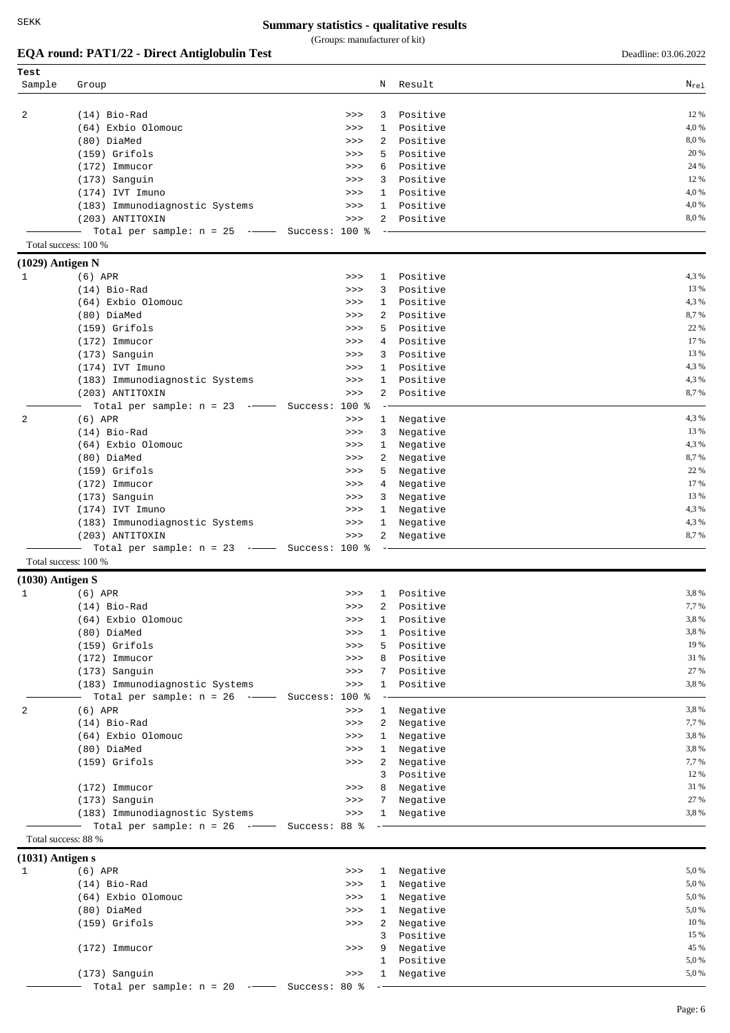(Groups: manufacturer of kit)

|                    | EQA round: PAT1/22 - Direct Antiglobulin Test |                |              |            | Deadline: 03.06.2022      |
|--------------------|-----------------------------------------------|----------------|--------------|------------|---------------------------|
| Test               |                                               |                |              |            |                           |
| Sample             | Group                                         |                | N            | Result     | $\mathrm{N}_\mathrm{rel}$ |
| 2                  | $(14)$ Bio-Rad                                | >>             | 3            | Positive   | 12 %                      |
|                    | (64) Exbio Olomouc                            | >>             | 1            | Positive   | 4,0%                      |
|                    | (80) DiaMed                                   | >>             | 2            | Positive   | 8,0%                      |
|                    | $(159)$ Grifols                               | >>             | 5            | Positive   | 20 %                      |
|                    | $(172)$ Immucor                               | >>             | 6            | Positive   | 24 %                      |
|                    | $(173)$ Sanguin                               | >>             | 3            | Positive   | 12 %                      |
|                    | (174) IVT Imuno                               | >>             | 1            | Positive   | 4,0%                      |
|                    | (183) Immunodiagnostic Systems                | >>             | $\mathbf{1}$ | Positive   | 4,0%                      |
|                    | (203) ANTITOXIN                               | $>>>$          | 2            | Positive   | 8,0%                      |
|                    | Total per sample: $n = 25$ -- Success: 100 %  |                |              |            |                           |
|                    | Total success: 100 %                          |                |              |            |                           |
| $(1029)$ Antigen N |                                               |                |              |            |                           |
| $\mathbf{1}$       | $(6)$ APR                                     | >>             | $\mathbf{1}$ | Positive   | 4,3%                      |
|                    | $(14)$ Bio-Rad                                | >>             | 3            | Positive   | 13 %                      |
|                    | (64) Exbio Olomouc                            | >>             | 1            | Positive   | 4,3%                      |
|                    | (80) DiaMed                                   | >>             | 2            | Positive   | 8,7%                      |
|                    | (159) Grifols                                 | >>             | 5            | Positive   | 22 %                      |
|                    | $(172)$ Immucor                               | >>             | 4            | Positive   | 17 %                      |
|                    | (173) Sanguin                                 | >>             | 3            | Positive   | 13 %                      |
|                    | (174) IVT Imuno                               | >>             | $\mathbf{1}$ | Positive   | 4,3%                      |
|                    | (183) Immunodiagnostic Systems                | >>             | 1            | Positive   | 4,3%                      |
|                    | (203) ANTITOXIN                               | >>             | 2            | Positive   | 8,7%                      |
|                    | Total per sample: $n = 23$ -- Success: 100 %  |                |              |            |                           |
| 2                  | $(6)$ APR                                     | >>             | $\mathbf{1}$ | Negative   | 4,3%                      |
|                    | $(14)$ Bio-Rad                                | >>             | 3            | Negative   | 13 %                      |
|                    | (64) Exbio Olomouc                            | >>>            | 1            | Negative   | 4,3%                      |
|                    | (80) DiaMed                                   | >>             | 2            | Negative   | 8,7%                      |
|                    | $(159)$ Grifols                               | >>             | 5            | Negative   | 22 %                      |
|                    | $(172)$ Immucor                               | >>             | 4            | Negative   | 17 %                      |
|                    | (173) Sanguin                                 | >>>            | 3            | Negative   | 13 %                      |
|                    | (174) IVT Imuno                               | >>>            | $\mathbf{1}$ | Negative   | 4,3%                      |
|                    | (183) Immunodiagnostic Systems                | >>             | $\mathbf{1}$ | Negative   | 4,3%                      |
|                    | (203) ANTITOXIN                               | $>>>$          | 2            | Negative   | 8,7%                      |
|                    | Total per sample: $n = 23$ --                 | Success: 100 % |              |            |                           |
|                    | Total success: 100 %                          |                |              |            |                           |
| $(1030)$ Antigen S |                                               |                |              |            |                           |
|                    | 1 (6) APR                                     | >>>            |              | 1 Positive | 3,8%                      |
|                    | $(14)$ Bio-Rad                                | >>             | 2            | Positive   | 7,7 %                     |
|                    | (64) Exbio Olomouc                            | >>             | 1            | Positive   | 3,8%                      |
|                    | (80) DiaMed                                   | >>             | $\mathbf{1}$ | Positive   | 3,8%                      |
|                    | (159) Grifols                                 | $>>>$          | 5            | Positive   | 19 %                      |
|                    | $(172)$ Immucor                               | >>             | 8            | Positive   | 31 %                      |
|                    | (173) Sanguin                                 | >>             | 7            | Positive   | 27 %                      |
|                    | (183) Immunodiagnostic Systems                | $>>>$          | $\mathbf{1}$ | Positive   | 3,8%                      |
|                    | Total per sample: $n = 26$ -                  | Success: 100 % |              |            |                           |
| 2                  | $(6)$ APR                                     | $>>>$          | $\mathbf{1}$ | Negative   | 3,8%                      |
|                    | $(14)$ Bio-Rad                                | >>             | 2            | Negative   | 7,7 %                     |
|                    | (64) Exbio Olomouc                            | $>>>$          | 1            | Negative   | 3,8%                      |
|                    | (80) DiaMed                                   | $>>>$          | $\mathbf{1}$ | Negative   | 3,8%                      |
|                    | (159) Grifols                                 | $>>>$          | $\mathbf{2}$ | Negative   | 7,7 %                     |
|                    |                                               |                | 3            | Positive   | 12 %                      |
|                    | $(172)$ Immucor                               | $>>>$          | 8            | Negative   | 31 %                      |
|                    | (173) Sanguin                                 | $>>>$          | 7            | Negative   | 27 %                      |
|                    | (183) Immunodiagnostic Systems                | >>             | 1            | Negative   | 3,8%                      |
|                    | Total per sample: $n = 26$ -- Success: 88 %   |                |              |            |                           |
|                    | Total success: 88 %                           |                |              |            |                           |
| $(1031)$ Antigen s |                                               |                |              |            |                           |
| $\mathbf{1}$       | $(6)$ APR                                     | >>             | $\mathbf{1}$ | Negative   | 5,0%                      |
|                    | $(14)$ Bio-Rad                                | >>             | $\mathbf{1}$ | Negative   | 5,0 %                     |
|                    | (64) Exbio Olomouc                            | >>             | 1            | Negative   | 5,0 %                     |
|                    | (80) DiaMed                                   | $>>>$          | $\mathbf{1}$ | Negative   | 5,0%                      |
|                    | $(159)$ Grifols                               | $>>>$          | $\mathbf{2}$ | Negative   | 10 %                      |
|                    |                                               |                | $\mathbf{3}$ | Positive   | 15 %                      |
|                    | $(172)$ Immucor                               | $>>>$          | 9            | Negative   | 45 %                      |
|                    |                                               |                | 1            | Positive   | 5,0%                      |
|                    | (173) Sanguin                                 | >>             | $\mathbf{1}$ | Negative   | 5,0%                      |

 $-$  Total per sample:  $n = 20$  - $-$  Success: 80 % --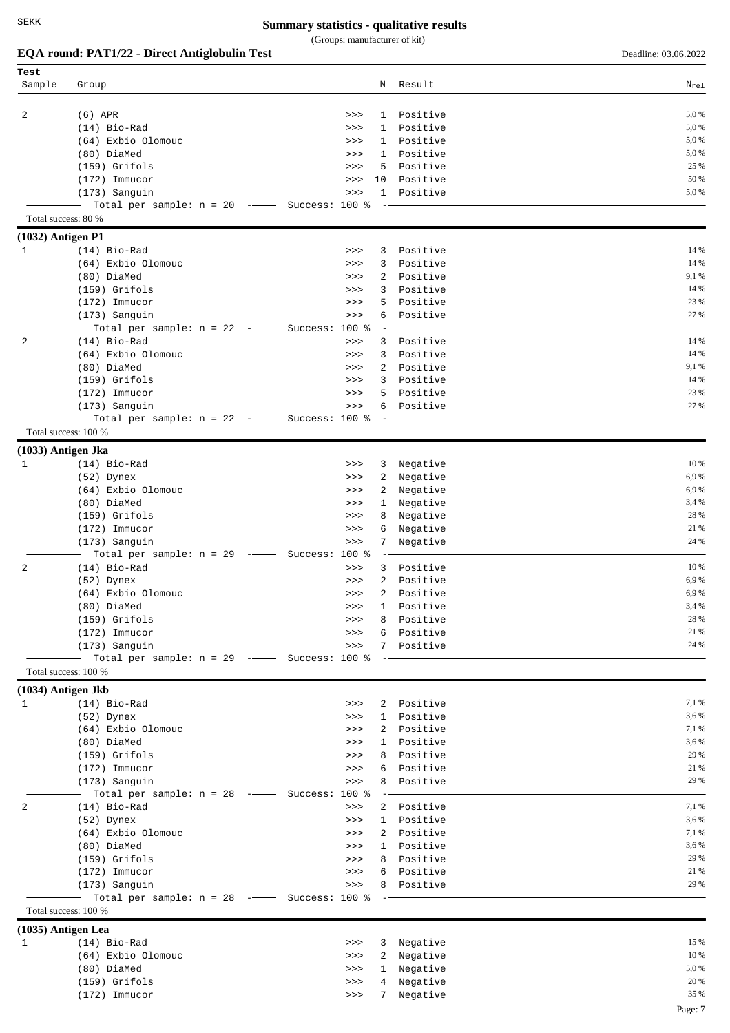(Groups: manufacturer of kit)

|                           | EQA round: PAT1/22 - Direct Antiglobulin Test                           |           |              |                      | Deadline: 03.06.2022 |
|---------------------------|-------------------------------------------------------------------------|-----------|--------------|----------------------|----------------------|
| Test                      |                                                                         |           | Ν            | Result               | $N_{re1}$            |
| Sample                    | Group                                                                   |           |              |                      |                      |
| 2                         | $(6)$ APR                                                               | >>        | 1            | Positive             | 5,0 %                |
|                           | $(14)$ Bio-Rad                                                          | >>        | 1            | Positive             | 5,0 %                |
|                           | (64) Exbio Olomouc                                                      | >>>       | 1            | Positive             | 5,0 %                |
|                           | (80) DiaMed                                                             | >>>       | $\mathbf{1}$ | Positive             | 5,0%                 |
|                           | $(159)$ Grifols                                                         | >>        | 5            | Positive             | 25 %                 |
|                           | $(172)$ Immucor<br>$(173)$ Sanguin                                      | >><br>>>  | 10<br>1      | Positive<br>Positive | 50 %<br>5,0%         |
|                           | Total per sample: $n = 20$ -- Success: 100 %                            |           |              |                      |                      |
| Total success: 80 %       |                                                                         |           |              |                      |                      |
| (1032) Antigen P1         |                                                                         |           |              |                      |                      |
| 1                         | $(14)$ Bio-Rad                                                          | >>        | 3            | Positive             | 14 %                 |
|                           | (64) Exbio Olomouc                                                      | >>        | 3            | Positive             | 14 %                 |
|                           | (80) DiaMed                                                             | >>        | 2            | Positive             | 9,1 %                |
|                           | $(159)$ Grifols                                                         | >>>       | 3            | Positive             | 14 %                 |
|                           | $(172)$ Immucor<br>(173) Sanguin                                        | >>><br>>> | 5<br>6       | Positive<br>Positive | 23 %<br>27 %         |
|                           | Total per sample: $n = 22$ -- Success: 100 %                            |           |              |                      |                      |
| 2                         | $(14)$ Bio-Rad                                                          | >>        | 3            | Positive             | 14 %                 |
|                           | (64) Exbio Olomouc                                                      | >>>       | 3            | Positive             | 14 %                 |
|                           | (80) DiaMed                                                             | >>        | 2            | Positive             | 9,1 %                |
|                           | $(159)$ Grifols                                                         | >>        | 3            | Positive             | 14 %                 |
|                           | $(172)$ Immucor                                                         | >>        | 5            | Positive             | 23 %                 |
|                           | (173) Sanguin                                                           | >>        | 6            | Positive             | 27 %                 |
|                           | Total per sample: $n = 22$ -- Success: 100 %<br>Total success: 100 %    |           |              |                      |                      |
|                           |                                                                         |           |              |                      |                      |
| $(1033)$ Antigen Jka<br>1 | $(14)$ Bio-Rad                                                          | >>>       | 3            | Negative             | 10 %                 |
|                           | $(52)$ Dynex                                                            | >>>       | 2            | Negative             | 6,9%                 |
|                           | (64) Exbio Olomouc                                                      | >>>       | 2            | Negative             | 6,9%                 |
|                           | (80) DiaMed                                                             | >>>       | 1            | Negative             | 3,4 %                |
|                           | (159) Grifols                                                           | >>>       | 8            | Negative             | 28 %                 |
|                           | $(172)$ Immucor                                                         | >>>       | 6            | Negative             | 21 %                 |
|                           | $(173)$ Sanguin                                                         | >>        | 7            | Negative             | 24 %                 |
| 2                         | Total per sample: $n = 29$ -- Success: 100 %<br>$(14)$ Bio-Rad          | >>        | 3            |                      | 10 %                 |
|                           | $(52)$ Dynex                                                            | >>        | 2            | Positive<br>Positive | 6,9%                 |
|                           | (64) Exbio Olomouc                                                      | >>>       |              | 2 Positive           | 6,9%                 |
|                           | (80) DiaMed                                                             | >>        | $\mathbf{1}$ | Positive             | 3,4 %                |
|                           | (159) Grifols                                                           | >>        | 8            | Positive             | 28 %                 |
|                           | $(172)$ Immucor                                                         | >>        |              | 6 Positive           | 21 %                 |
|                           | $(173)$ Sanguin                                                         | $>>>$     |              | 7 Positive           | 24 %                 |
|                           | - Total per sample: $n = 29$ --- Success: 100 %<br>Total success: 100 % |           |              |                      |                      |
|                           |                                                                         |           |              |                      |                      |
| $(1034)$ Antigen Jkb<br>1 | $(14)$ Bio-Rad                                                          | >>        |              | 2 Positive           | 7,1 %                |
|                           | $(52)$ Dynex                                                            | >>        | $\mathbf{1}$ | Positive             | 3,6%                 |
|                           | (64) Exbio Olomouc                                                      | >>        |              | 2 Positive           | 7,1 %                |
|                           | (80) DiaMed                                                             | >>        | 1            | Positive             | 3,6%                 |
|                           | (159) Grifols                                                           | >>        | 8            | Positive             | 29 %                 |
|                           | (172) Immucor                                                           | >>        | 6            | Positive             | 21 %                 |
|                           | (173) Sanguin                                                           | >>        | 8            | Positive             | 29 %                 |
| 2                         | - Total per sample: n = 28 ----- Success: 100 %<br>$(14)$ Bio-Rad       | $>>>$     |              | 2 Positive           | 7,1 %                |
|                           | (52) Dynex                                                              | >>        |              | 1 Positive           | 3,6%                 |
|                           | (64) Exbio Olomouc                                                      | >>        | $\mathbf{2}$ | Positive             | 7,1 %                |
|                           | (80) DiaMed                                                             | >>        |              | 1 Positive           | 3,6%                 |
|                           | (159) Grifols                                                           | >>        | 8            | Positive             | 29 %                 |
|                           | $(172)$ Immucor                                                         | $>>>$     | 6            | Positive             | 21 %                 |
|                           | (173) Sanguin                                                           | $>>>$     | 8            | Positive             | 29 %                 |
|                           | - Total per sample: n = 28 --- Success: 100 %<br>Total success: 100 %   |           |              |                      |                      |
|                           |                                                                         |           |              |                      |                      |
| $(1035)$ Antigen Lea<br>1 | $(14)$ Bio-Rad                                                          | >>>       | 3            | Negative             | 15 %                 |
|                           | (64) Exbio Olomouc                                                      | >>        | 2            | Negative             | 10 %                 |
|                           | (80) DiaMed                                                             | >>        | $\mathbf{1}$ | Negative             | 5,0%                 |
|                           | $(159)$ Grifols                                                         | >>        |              | 4 Negative           | 20 %                 |

(172) Immucor >>> 7 Negative 35 % Page: 7